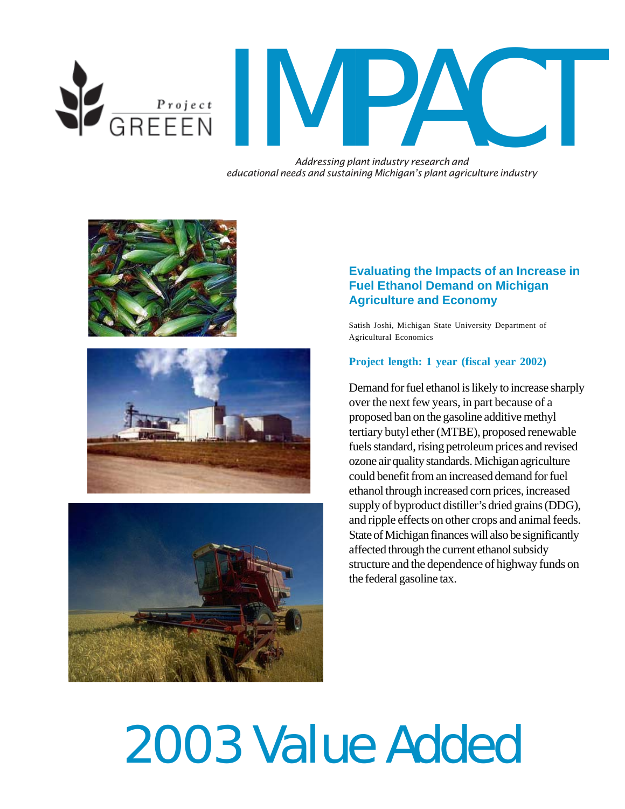

GREEEN IN PACT

*Addressing plant industry research and educational needs and sustaining Michigan's plant agriculture industry*







# **Evaluating the Impacts of an Increase in Fuel Ethanol Demand on Michigan Agriculture and Economy**

Satish Joshi, Michigan State University Department of Agricultural Economics

#### **Project length: 1 year (fiscal year 2002)**

Demand for fuel ethanol is likely to increase sharply over the next few years, in part because of a proposed ban on the gasoline additive methyl tertiary butyl ether (MTBE), proposed renewable fuels standard, rising petroleum prices and revised ozone air quality standards. Michigan agriculture could benefit from an increased demand for fuel ethanol through increased corn prices, increased supply of byproduct distiller's dried grains (DDG), and ripple effects on other crops and animal feeds. State of Michigan finances will also be significantly affected through the current ethanol subsidy structure and the dependence of highway funds on the federal gasoline tax.

# 2003 Value Added